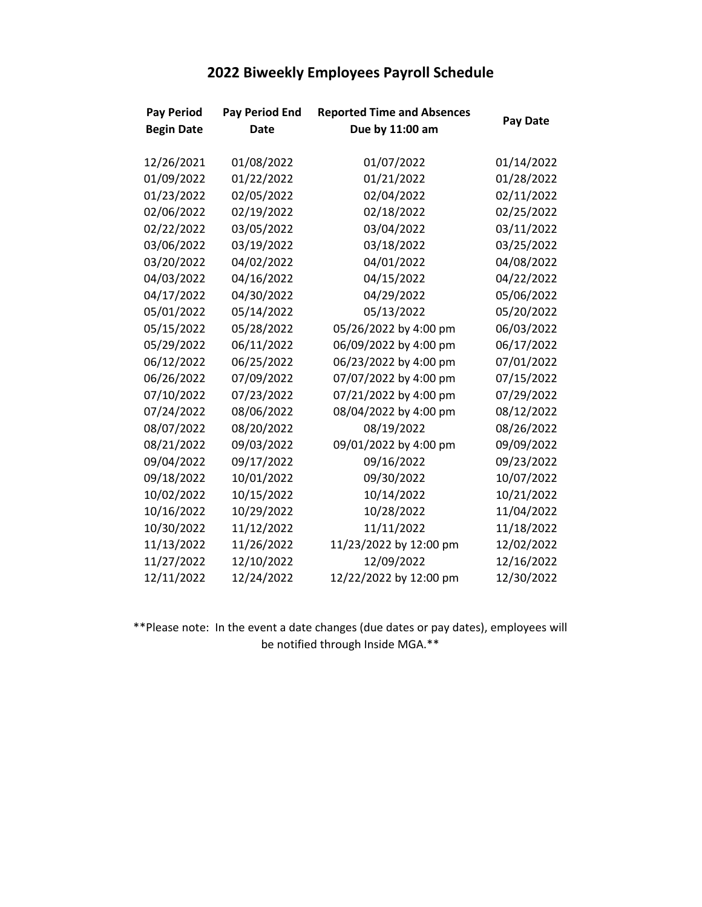|  |  | 2022 Biweekly Employees Payroll Schedule |  |  |
|--|--|------------------------------------------|--|--|
|--|--|------------------------------------------|--|--|

| <b>Pay Period</b> | <b>Pay Period End</b> | <b>Reported Time and Absences</b> |                 |
|-------------------|-----------------------|-----------------------------------|-----------------|
| <b>Begin Date</b> | <b>Date</b>           | Due by 11:00 am                   | <b>Pay Date</b> |
|                   |                       |                                   |                 |
| 12/26/2021        | 01/08/2022            | 01/07/2022                        | 01/14/2022      |
| 01/09/2022        | 01/22/2022            | 01/21/2022                        | 01/28/2022      |
| 01/23/2022        | 02/05/2022            | 02/04/2022                        | 02/11/2022      |
| 02/06/2022        | 02/19/2022            | 02/18/2022                        | 02/25/2022      |
| 02/22/2022        | 03/05/2022            | 03/04/2022                        | 03/11/2022      |
| 03/06/2022        | 03/19/2022            | 03/18/2022                        | 03/25/2022      |
| 03/20/2022        | 04/02/2022            | 04/01/2022                        | 04/08/2022      |
| 04/03/2022        | 04/16/2022            | 04/15/2022                        | 04/22/2022      |
| 04/17/2022        | 04/30/2022            | 04/29/2022                        | 05/06/2022      |
| 05/01/2022        | 05/14/2022            | 05/13/2022                        | 05/20/2022      |
| 05/15/2022        | 05/28/2022            | 05/26/2022 by 4:00 pm             | 06/03/2022      |
| 05/29/2022        | 06/11/2022            | 06/09/2022 by 4:00 pm             | 06/17/2022      |
| 06/12/2022        | 06/25/2022            | 06/23/2022 by 4:00 pm             | 07/01/2022      |
| 06/26/2022        | 07/09/2022            | 07/07/2022 by 4:00 pm             | 07/15/2022      |
| 07/10/2022        | 07/23/2022            | 07/21/2022 by 4:00 pm             | 07/29/2022      |
| 07/24/2022        | 08/06/2022            | 08/04/2022 by 4:00 pm             | 08/12/2022      |
| 08/07/2022        | 08/20/2022            | 08/19/2022                        | 08/26/2022      |
| 08/21/2022        | 09/03/2022            | 09/01/2022 by 4:00 pm             | 09/09/2022      |
| 09/04/2022        | 09/17/2022            | 09/16/2022                        | 09/23/2022      |
| 09/18/2022        | 10/01/2022            | 09/30/2022                        | 10/07/2022      |
| 10/02/2022        | 10/15/2022            | 10/14/2022                        | 10/21/2022      |
| 10/16/2022        | 10/29/2022            | 10/28/2022                        | 11/04/2022      |
| 10/30/2022        | 11/12/2022            | 11/11/2022                        | 11/18/2022      |
| 11/13/2022        | 11/26/2022            | 11/23/2022 by 12:00 pm            | 12/02/2022      |
| 11/27/2022        | 12/10/2022            | 12/09/2022                        | 12/16/2022      |
| 12/11/2022        | 12/24/2022            | 12/22/2022 by 12:00 pm            | 12/30/2022      |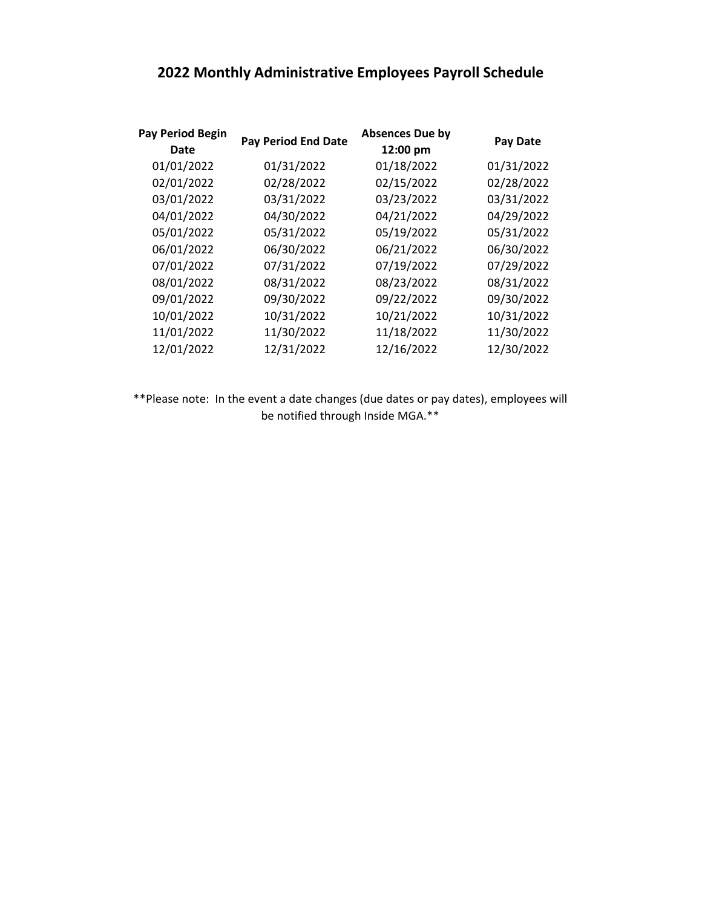## **2022 Monthly Administrative Employees Payroll Schedule**

| <b>Pay Period Begin</b><br>Date | <b>Pay Period End Date</b> | <b>Absences Due by</b><br>12:00 pm | <b>Pay Date</b> |
|---------------------------------|----------------------------|------------------------------------|-----------------|
| 01/01/2022                      | 01/31/2022                 | 01/18/2022                         | 01/31/2022      |
| 02/01/2022                      | 02/28/2022                 | 02/15/2022                         | 02/28/2022      |
| 03/01/2022                      | 03/31/2022                 | 03/23/2022                         | 03/31/2022      |
| 04/01/2022                      | 04/30/2022                 | 04/21/2022                         | 04/29/2022      |
| 05/01/2022                      | 05/31/2022                 | 05/19/2022                         | 05/31/2022      |
| 06/01/2022                      | 06/30/2022                 | 06/21/2022                         | 06/30/2022      |
| 07/01/2022                      | 07/31/2022                 | 07/19/2022                         | 07/29/2022      |
| 08/01/2022                      | 08/31/2022                 | 08/23/2022                         | 08/31/2022      |
| 09/01/2022                      | 09/30/2022                 | 09/22/2022                         | 09/30/2022      |
| 10/01/2022                      | 10/31/2022                 | 10/21/2022                         | 10/31/2022      |
| 11/01/2022                      | 11/30/2022                 | 11/18/2022                         | 11/30/2022      |
| 12/01/2022                      | 12/31/2022                 | 12/16/2022                         | 12/30/2022      |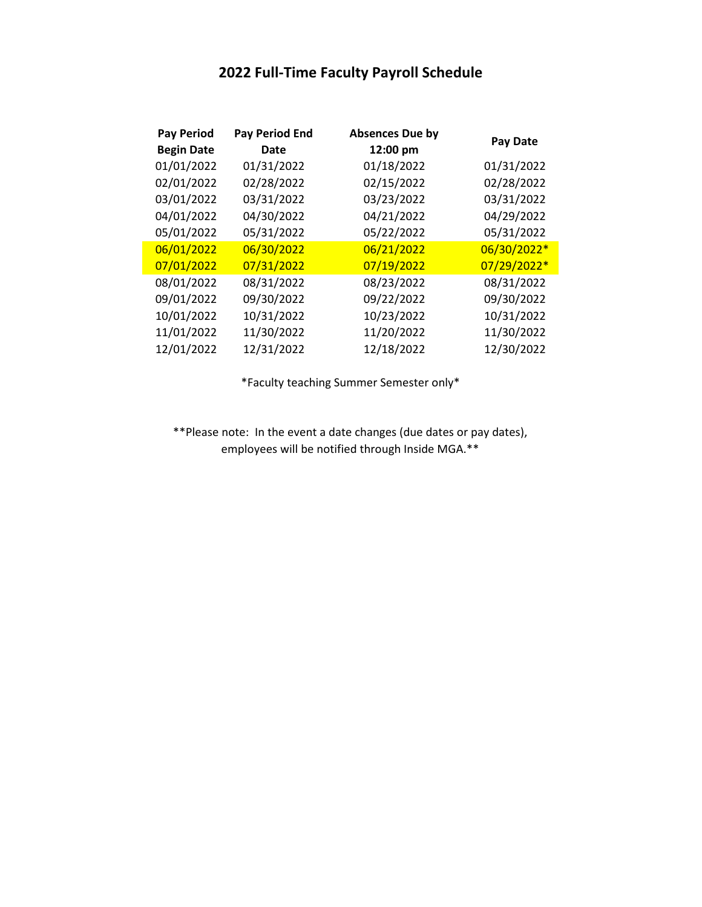## **2022 Full-Time Faculty Payroll Schedule**

| <b>Pay Period</b><br><b>Begin Date</b> | <b>Pay Period End</b><br>Date | <b>Absences Due by</b><br>12:00 pm | Pay Date    |
|----------------------------------------|-------------------------------|------------------------------------|-------------|
|                                        |                               |                                    |             |
| 01/01/2022                             | 01/31/2022                    | 01/18/2022                         | 01/31/2022  |
| 02/01/2022                             | 02/28/2022                    | 02/15/2022                         | 02/28/2022  |
| 03/01/2022                             | 03/31/2022                    | 03/23/2022                         | 03/31/2022  |
| 04/01/2022                             | 04/30/2022                    | 04/21/2022                         | 04/29/2022  |
| 05/01/2022                             | 05/31/2022                    | 05/22/2022                         | 05/31/2022  |
| 06/01/2022                             | 06/30/2022                    | 06/21/2022                         | 06/30/2022* |
| 07/01/2022                             | 07/31/2022                    | 07/19/2022                         | 07/29/2022* |
| 08/01/2022                             | 08/31/2022                    | 08/23/2022                         | 08/31/2022  |
| 09/01/2022                             | 09/30/2022                    | 09/22/2022                         | 09/30/2022  |
| 10/01/2022                             | 10/31/2022                    | 10/23/2022                         | 10/31/2022  |
| 11/01/2022                             | 11/30/2022                    | 11/20/2022                         | 11/30/2022  |
| 12/01/2022                             | 12/31/2022                    | 12/18/2022                         | 12/30/2022  |

\*Faculty teaching Summer Semester only\*